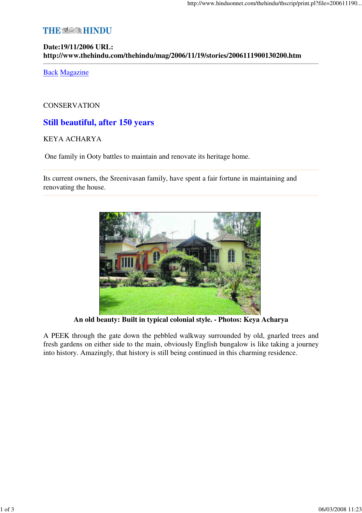# **THE ※ @ HINDU**

# **Date:19/11/2006 URL: http://www.thehindu.com/thehindu/mag/2006/11/19/stories/2006111900130200.htm**

Back Magazine

### **CONSERVATION**

# **Still beautiful, after 150 years**

## KEYA ACHARYA

One family in Ooty battles to maintain and renovate its heritage home.

Its current owners, the Sreenivasan family, have spent a fair fortune in maintaining and renovating the house.



**An old beauty: Built in typical colonial style. - Photos: Keya Acharya**

A PEEK through the gate down the pebbled walkway surrounded by old, gnarled trees and fresh gardens on either side to the main, obviously English bungalow is like taking a journey into history. Amazingly, that history is still being continued in this charming residence.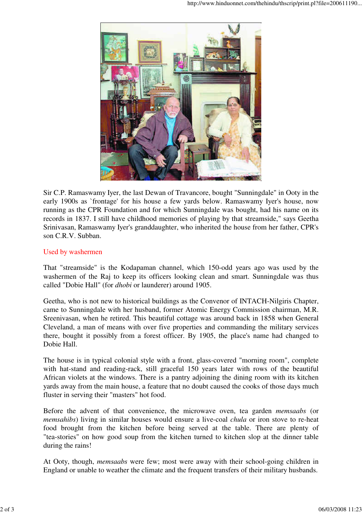

Sir C.P. Ramaswamy Iyer, the last Dewan of Travancore, bought "Sunningdale" in Ooty in the early 1900s as `frontage' for his house a few yards below. Ramaswamy Iyer's house, now running as the CPR Foundation and for which Sunningdale was bought, had his name on its records in 1837. I still have childhood memories of playing by that streamside," says Geetha Srinivasan, Ramaswamy Iyer's granddaughter, who inherited the house from her father, CPR's son C.R.V. Subban.

## Used by washermen

That "streamside" is the Kodapaman channel, which 150-odd years ago was used by the washermen of the Raj to keep its officers looking clean and smart. Sunningdale was thus called "Dobie Hall" (for *dhobi* or launderer) around 1905.

Geetha, who is not new to historical buildings as the Convenor of INTACH-Nilgiris Chapter, came to Sunningdale with her husband, former Atomic Energy Commission chairman, M.R. Sreenivasan, when he retired. This beautiful cottage was around back in 1858 when General Cleveland, a man of means with over five properties and commanding the military services there, bought it possibly from a forest officer. By 1905, the place's name had changed to Dobie Hall.

The house is in typical colonial style with a front, glass-covered "morning room", complete with hat-stand and reading-rack, still graceful 150 years later with rows of the beautiful African violets at the windows. There is a pantry adjoining the dining room with its kitchen yards away from the main house, a feature that no doubt caused the cooks of those days much fluster in serving their "masters" hot food.

Before the advent of that convenience, the microwave oven, tea garden *memsaabs* (or *memsahibs*) living in similar houses would ensure a live-coal *chula* or iron stove to re-heat food brought from the kitchen before being served at the table. There are plenty of "tea-stories" on how good soup from the kitchen turned to kitchen slop at the dinner table during the rains!

At Ooty, though, *memsaabs* were few; most were away with their school-going children in England or unable to weather the climate and the frequent transfers of their military husbands.